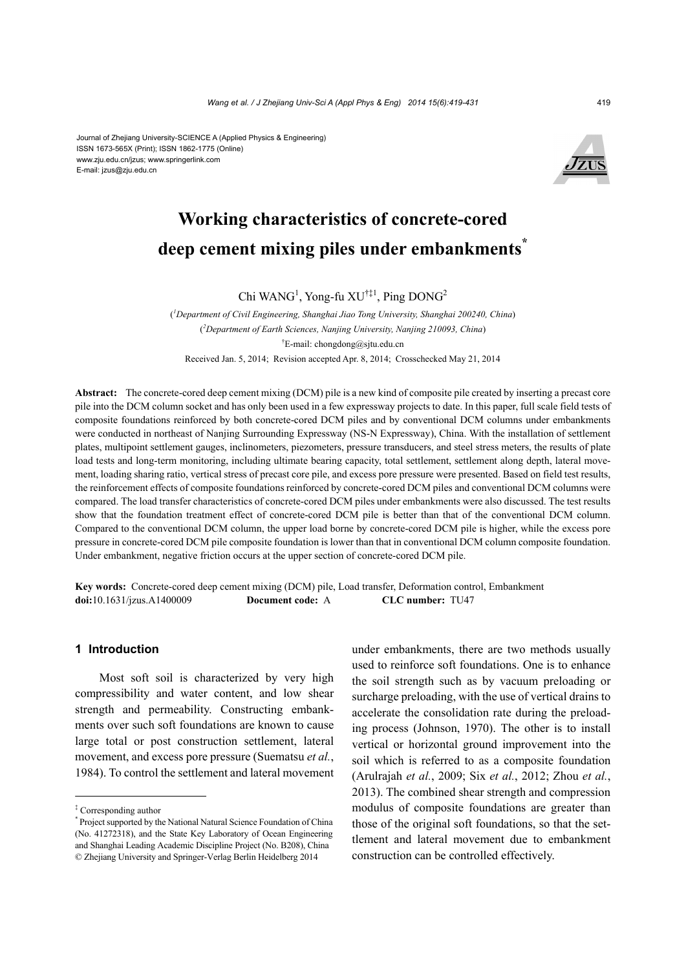#### Journal of Zhejiang University-SCIENCE A (Applied Physics & Engineering) ISSN 1673-565X (Print); ISSN 1862-1775 (Online) www.zju.edu.cn/jzus; www.springerlink.com E-mail: jzus@zju.edu.cn



# **Working characteristics of concrete-cored deep cement mixing piles under embankments\***

Chi WANG<sup>1</sup>, Yong-fu XU<sup>†‡1</sup>, Ping DONG<sup>2</sup>

( *1 Department of Civil Engineering, Shanghai Jiao Tong University, Shanghai 200240, China*) ( *2 Department of Earth Sciences, Nanjing University, Nanjing 210093, China*) † E-mail: chongdong@sjtu.edu.cn Received Jan. 5, 2014; Revision accepted Apr. 8, 2014; Crosschecked May 21, 2014

**Abstract:** The concrete-cored deep cement mixing (DCM) pile is a new kind of composite pile created by inserting a precast core pile into the DCM column socket and has only been used in a few expressway projects to date. In this paper, full scale field tests of composite foundations reinforced by both concrete-cored DCM piles and by conventional DCM columns under embankments were conducted in northeast of Nanjing Surrounding Expressway (NS-N Expressway), China. With the installation of settlement plates, multipoint settlement gauges, inclinometers, piezometers, pressure transducers, and steel stress meters, the results of plate load tests and long-term monitoring, including ultimate bearing capacity, total settlement, settlement along depth, lateral movement, loading sharing ratio, vertical stress of precast core pile, and excess pore pressure were presented. Based on field test results, the reinforcement effects of composite foundations reinforced by concrete-cored DCM piles and conventional DCM columns were compared. The load transfer characteristics of concrete-cored DCM piles under embankments were also discussed. The test results show that the foundation treatment effect of concrete-cored DCM pile is better than that of the conventional DCM column. Compared to the conventional DCM column, the upper load borne by concrete-cored DCM pile is higher, while the excess pore pressure in concrete-cored DCM pile composite foundation is lower than that in conventional DCM column composite foundation. Under embankment, negative friction occurs at the upper section of concrete-cored DCM pile.

**Key words:** Concrete-cored deep cement mixing (DCM) pile, Load transfer, Deformation control, Embankment **doi:**10.1631/jzus.A1400009 **Document code:** A **CLC number:** TU47

# **1 Introduction**

Most soft soil is characterized by very high compressibility and water content, and low shear strength and permeability. Constructing embankments over such soft foundations are known to cause large total or post construction settlement, lateral movement, and excess pore pressure (Suematsu *et al.*, 1984). To control the settlement and lateral movement under embankments, there are two methods usually used to reinforce soft foundations. One is to enhance the soil strength such as by vacuum preloading or surcharge preloading, with the use of vertical drains to accelerate the consolidation rate during the preloading process (Johnson, 1970). The other is to install vertical or horizontal ground improvement into the soil which is referred to as a composite foundation (Arulrajah *et al.*, 2009; Six *et al.*, 2012; Zhou *et al.*, 2013). The combined shear strength and compression modulus of composite foundations are greater than those of the original soft foundations, so that the settlement and lateral movement due to embankment construction can be controlled effectively.

<sup>‡</sup> Corresponding author

<sup>\*</sup> Project supported by the National Natural Science Foundation of China (No. 41272318), and the State Key Laboratory of Ocean Engineering and Shanghai Leading Academic Discipline Project (No. B208), China © Zhejiang University and Springer-Verlag Berlin Heidelberg 2014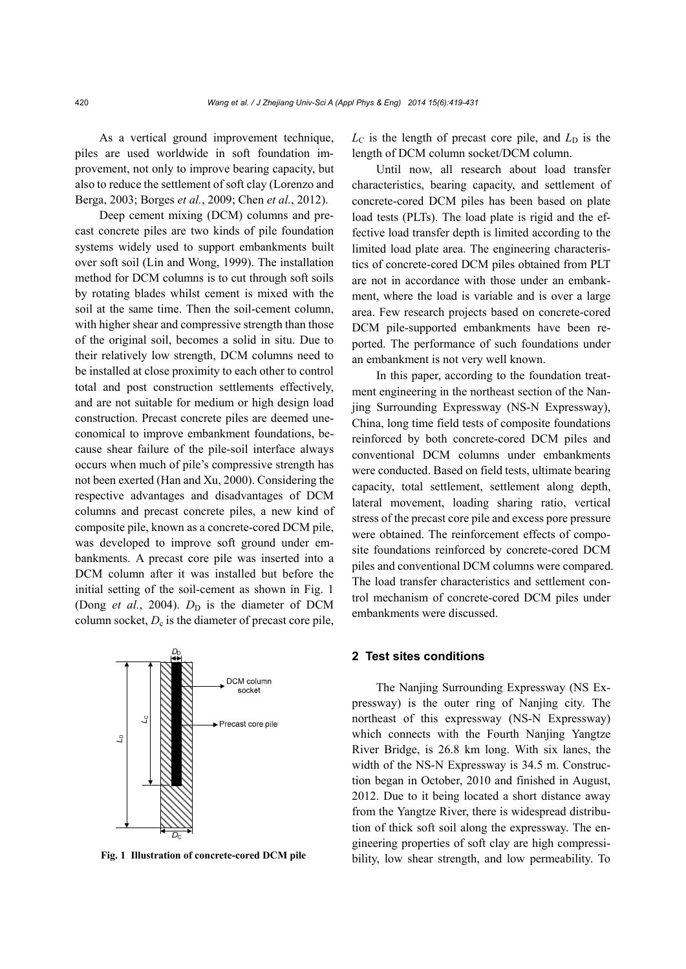As a vertical ground improvement technique, piles are used worldwide in soft foundation improvement, not only to improve bearing capacity, but also to reduce the settlement of soft clay (Lorenzo and Berga, 2003; Borges *et al.*, 2009; Chen *et al.*, 2012).

Deep cement mixing (DCM) columns and precast concrete piles are two kinds of pile foundation systems widely used to support embankments built over soft soil (Lin and Wong, 1999). The installation method for DCM columns is to cut through soft soils by rotating blades whilst cement is mixed with the soil at the same time. Then the soil-cement column, with higher shear and compressive strength than those of the original soil, becomes a solid in situ. Due to their relatively low strength, DCM columns need to be installed at close proximity to each other to control total and post construction settlements effectively, and are not suitable for medium or high design load construction. Precast concrete piles are deemed uneconomical to improve embankment foundations, because shear failure of the pile-soil interface always occurs when much of pile's compressive strength has not been exerted (Han and Xu, 2000). Considering the respective advantages and disadvantages of DCM columns and precast concrete piles, a new kind of composite pile, known as a concrete-cored DCM pile, was developed to improve soft ground under embankments. A precast core pile was inserted into a DCM column after it was installed but before the initial setting of the soil-cement as shown in Fig. 1 (Dong *et al.*, 2004).  $D_D$  is the diameter of DCM column socket,  $D_c$  is the diameter of precast core pile,



**Fig. 1 Illustration of concrete-cored DCM pile**

 $L_{\rm C}$  is the length of precast core pile, and  $L_{\rm D}$  is the length of DCM column socket/DCM column.

Until now, all research about load transfer characteristics, bearing capacity, and settlement of concrete-cored DCM piles has been based on plate load tests (PLTs). The load plate is rigid and the effective load transfer depth is limited according to the limited load plate area. The engineering characteristics of concrete-cored DCM piles obtained from PLT are not in accordance with those under an embankment, where the load is variable and is over a large area. Few research projects based on concrete-cored DCM pile-supported embankments have been reported. The performance of such foundations under an embankment is not very well known.

In this paper, according to the foundation treatment engineering in the northeast section of the Nanjing Surrounding Expressway (NS-N Expressway), China, long time field tests of composite foundations reinforced by both concrete-cored DCM piles and conventional DCM columns under embankments were conducted. Based on field tests, ultimate bearing capacity, total settlement, settlement along depth, lateral movement, loading sharing ratio, vertical stress of the precast core pile and excess pore pressure were obtained. The reinforcement effects of composite foundations reinforced by concrete-cored DCM piles and conventional DCM columns were compared. The load transfer characteristics and settlement control mechanism of concrete-cored DCM piles under embankments were discussed.

#### **2 Test sites conditions**

The Nanjing Surrounding Expressway (NS Expressway) is the outer ring of Nanjing city. The northeast of this expressway (NS-N Expressway) which connects with the Fourth Nanjing Yangtze River Bridge, is 26.8 km long. With six lanes, the width of the NS-N Expressway is 34.5 m. Construction began in October, 2010 and finished in August, 2012. Due to it being located a short distance away from the Yangtze River, there is widespread distribution of thick soft soil along the expressway. The engineering properties of soft clay are high compressibility, low shear strength, and low permeability. To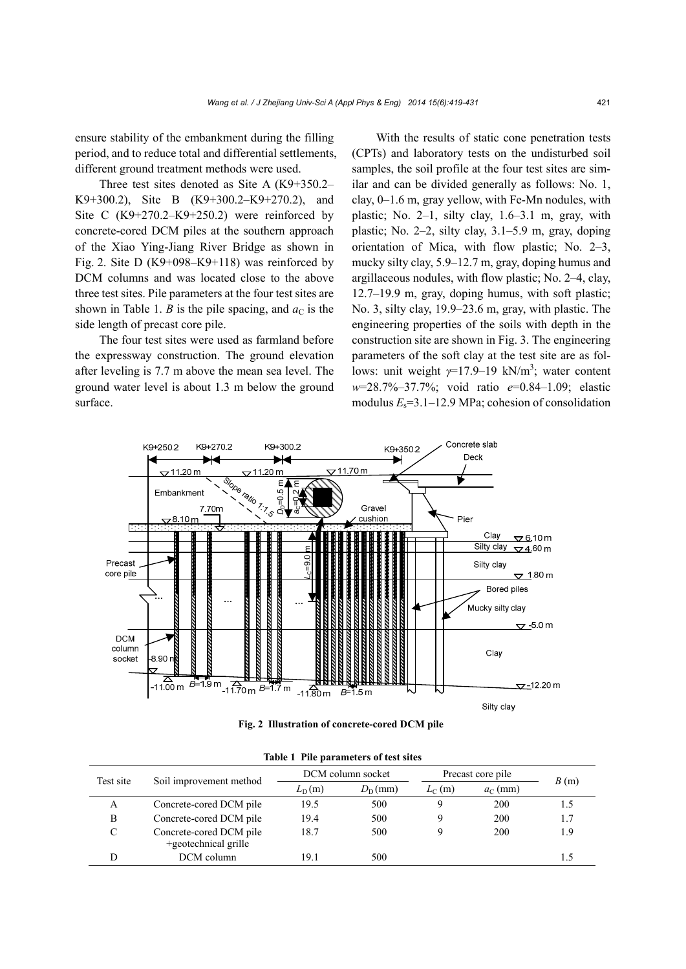ensure stability of the embankment during the filling period, and to reduce total and differential settlements, different ground treatment methods were used.

Three test sites denoted as Site A (K9+350.2– K9+300.2), Site B (K9+300.2–K9+270.2), and Site C  $(K9+270.2-K9+250.2)$  were reinforced by concrete-cored DCM piles at the southern approach of the Xiao Ying-Jiang River Bridge as shown in Fig. 2. Site D (K9+098–K9+118) was reinforced by DCM columns and was located close to the above three test sites. Pile parameters at the four test sites are shown in Table 1. *B* is the pile spacing, and  $a<sub>C</sub>$  is the side length of precast core pile.

The four test sites were used as farmland before the expressway construction. The ground elevation after leveling is 7.7 m above the mean sea level. The ground water level is about 1.3 m below the ground surface.

With the results of static cone penetration tests (CPTs) and laboratory tests on the undisturbed soil samples, the soil profile at the four test sites are similar and can be divided generally as follows: No. 1, clay, 0–1.6 m, gray yellow, with Fe-Mn nodules, with plastic; No. 2–1, silty clay,  $1.6-3.1$  m, gray, with plastic; No. 2–2, silty clay, 3.1–5.9 m, gray, doping orientation of Mica, with flow plastic; No. 2–3, mucky silty clay, 5.9–12.7 m, gray, doping humus and argillaceous nodules, with flow plastic; No. 2–4, clay, 12.7–19.9 m, gray, doping humus, with soft plastic; No. 3, silty clay, 19.9–23.6 m, gray, with plastic. The engineering properties of the soils with depth in the construction site are shown in Fig. 3. The engineering parameters of the soft clay at the test site are as follows: unit weight  $\gamma$ =17.9–19 kN/m<sup>3</sup>; water content *w*=28.7%–37.7%; void ratio *e*=0.84–1.09; elastic modulus  $E_s$ =3.1–12.9 MPa; cohesion of consolidation



**Fig. 2 Illustration of concrete-cored DCM pile** 

| THERE I HE BUILDING OF RESPONSE |                                                 |                   |                  |                   |                  |      |  |  |  |  |
|---------------------------------|-------------------------------------------------|-------------------|------------------|-------------------|------------------|------|--|--|--|--|
| Test site                       | Soil improvement method                         | DCM column socket |                  | Precast core pile |                  |      |  |  |  |  |
|                                 |                                                 | $L_{\rm D}(m)$    | $D_{\rm D}$ (mm) | $L_{\rm C}$ (m)   | $a_{\rm C}$ (mm) | B(m) |  |  |  |  |
| A                               | Concrete-cored DCM pile                         | 19.5              | 500              |                   | 200              | 1.5  |  |  |  |  |
| B                               | Concrete-cored DCM pile                         | 19.4              | 500              |                   | 200              | 1.7  |  |  |  |  |
|                                 | Concrete-cored DCM pile<br>+geotechnical grille | 18.7              | 500              |                   | 200              | 1.9  |  |  |  |  |
|                                 | DCM column                                      | 191               | 500              |                   |                  |      |  |  |  |  |

**Table 1 Pile parameters of test sites**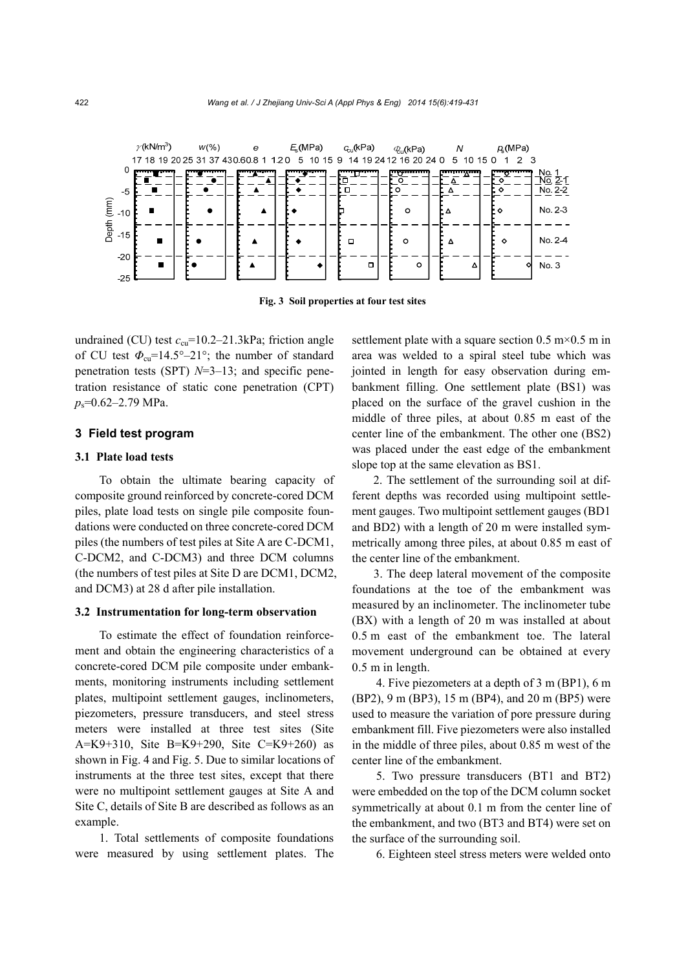

**Fig. 3 Soil properties at four test sites**

undrained (CU) test  $c_{\text{cu}}$ =10.2–21.3kPa; friction angle of CU test  $\Phi_{\rm cu}$ =14.5°–21°; the number of standard penetration tests (SPT) *N*=3–13; and specific penetration resistance of static cone penetration (CPT) *p*s=0.62–2.79 MPa.

# **3 Field test program**

#### **3.1 Plate load tests**

To obtain the ultimate bearing capacity of composite ground reinforced by concrete-cored DCM piles, plate load tests on single pile composite foundations were conducted on three concrete-cored DCM piles (the numbers of test piles at Site A are C-DCM1, C-DCM2, and C-DCM3) and three DCM columns (the numbers of test piles at Site D are DCM1, DCM2, and DCM3) at 28 d after pile installation.

#### **3.2 Instrumentation for long-term observation**

To estimate the effect of foundation reinforcement and obtain the engineering characteristics of a concrete-cored DCM pile composite under embankments, monitoring instruments including settlement plates, multipoint settlement gauges, inclinometers, piezometers, pressure transducers, and steel stress meters were installed at three test sites (Site A=K9+310, Site B=K9+290, Site C=K9+260) as shown in Fig. 4 and Fig. 5. Due to similar locations of instruments at the three test sites, except that there were no multipoint settlement gauges at Site A and Site C, details of Site B are described as follows as an example.

1. Total settlements of composite foundations were measured by using settlement plates. The settlement plate with a square section  $0.5 \text{ m} \times 0.5 \text{ m}$  in area was welded to a spiral steel tube which was jointed in length for easy observation during embankment filling. One settlement plate (BS1) was placed on the surface of the gravel cushion in the middle of three piles, at about 0.85 m east of the center line of the embankment. The other one (BS2) was placed under the east edge of the embankment slope top at the same elevation as BS1.

2. The settlement of the surrounding soil at different depths was recorded using multipoint settlement gauges. Two multipoint settlement gauges (BD1 and BD2) with a length of 20 m were installed symmetrically among three piles, at about 0.85 m east of the center line of the embankment.

3. The deep lateral movement of the composite foundations at the toe of the embankment was measured by an inclinometer. The inclinometer tube (BX) with a length of 20 m was installed at about 0.5 m east of the embankment toe. The lateral movement underground can be obtained at every 0.5 m in length.

4. Five piezometers at a depth of 3 m (BP1), 6 m (BP2), 9 m (BP3), 15 m (BP4), and 20 m (BP5) were used to measure the variation of pore pressure during embankment fill. Five piezometers were also installed in the middle of three piles, about 0.85 m west of the center line of the embankment.

5. Two pressure transducers (BT1 and BT2) were embedded on the top of the DCM column socket symmetrically at about 0.1 m from the center line of the embankment, and two (BT3 and BT4) were set on the surface of the surrounding soil.

6. Eighteen steel stress meters were welded onto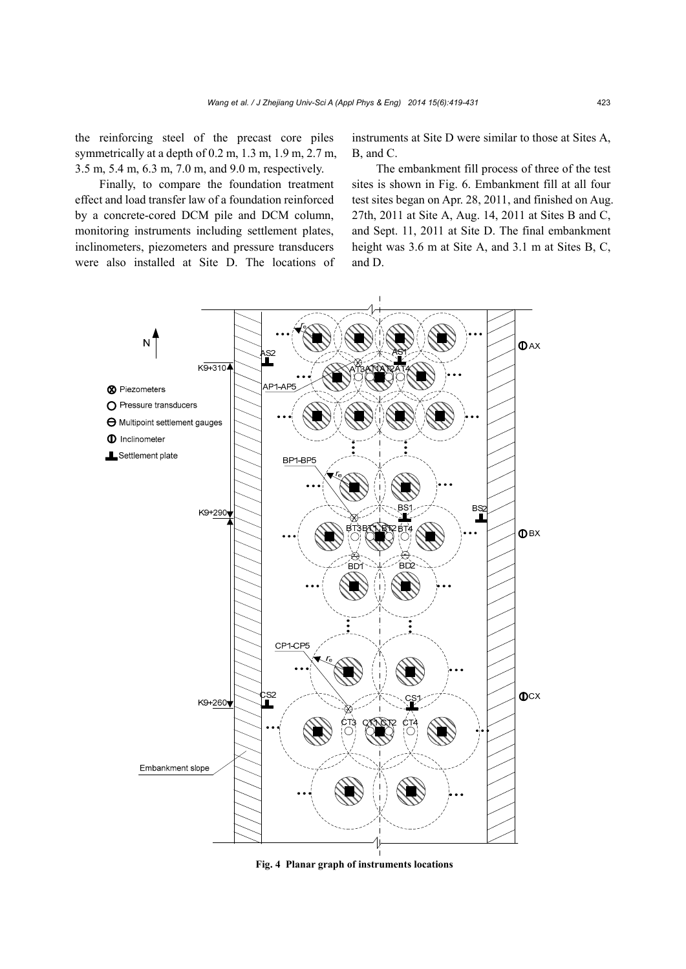the reinforcing steel of the precast core piles symmetrically at a depth of 0.2 m, 1.3 m, 1.9 m, 2.7 m, 3.5 m, 5.4 m, 6.3 m, 7.0 m, and 9.0 m, respectively.

Finally, to compare the foundation treatment effect and load transfer law of a foundation reinforced by a concrete-cored DCM pile and DCM column, monitoring instruments including settlement plates, inclinometers, piezometers and pressure transducers were also installed at Site D. The locations of instruments at Site D were similar to those at Sites A, B, and C.

The embankment fill process of three of the test sites is shown in Fig. 6. Embankment fill at all four test sites began on Apr. 28, 2011, and finished on Aug. 27th, 2011 at Site A, Aug. 14, 2011 at Sites B and C, and Sept. 11, 2011 at Site D. The final embankment height was 3.6 m at Site A, and 3.1 m at Sites B, C, and D.



**Fig. 4 Planar graph of instruments locations**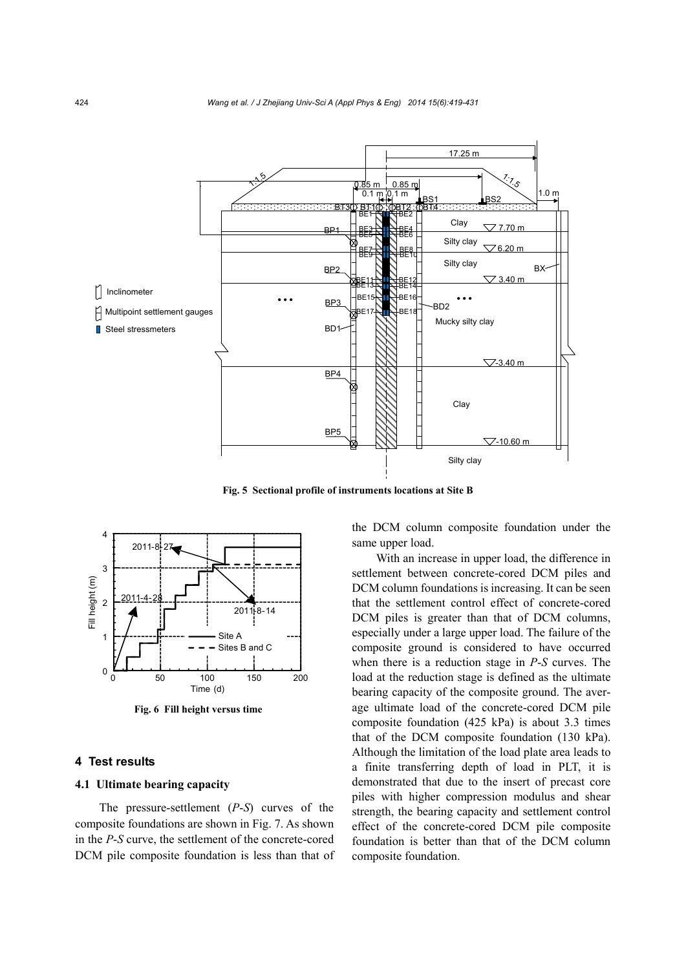

**Fig. 5 Sectional profile of instruments locations at Site B**



**Fig. 6 Fill height versus time**

# **4 Test results**

#### **4.1 Ultimate bearing capacity**

The pressure-settlement (*P*-*S*) curves of the composite foundations are shown in Fig. 7. As shown in the *P*-*S* curve, the settlement of the concrete-cored DCM pile composite foundation is less than that of the DCM column composite foundation under the same upper load.

With an increase in upper load, the difference in settlement between concrete-cored DCM piles and DCM column foundations is increasing. It can be seen that the settlement control effect of concrete-cored DCM piles is greater than that of DCM columns, especially under a large upper load. The failure of the composite ground is considered to have occurred when there is a reduction stage in *P*-*S* curves. The load at the reduction stage is defined as the ultimate bearing capacity of the composite ground. The average ultimate load of the concrete-cored DCM pile composite foundation (425 kPa) is about 3.3 times that of the DCM composite foundation (130 kPa). Although the limitation of the load plate area leads to a finite transferring depth of load in PLT, it is demonstrated that due to the insert of precast core piles with higher compression modulus and shear strength, the bearing capacity and settlement control effect of the concrete-cored DCM pile composite foundation is better than that of the DCM column composite foundation.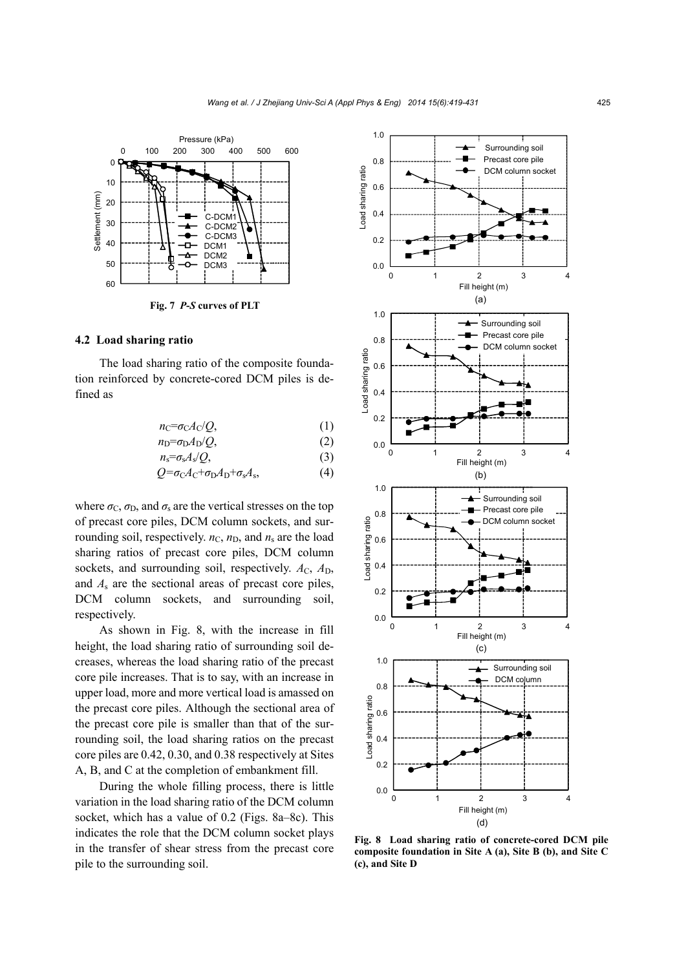

# **4.2 Load sharing ratio**

The load sharing ratio of the composite foundation reinforced by concrete-cored DCM piles is defined as

$$
n_{\rm C} = \sigma_{\rm C} A_{\rm C} / Q,\tag{1}
$$

$$
n_{\rm D} = \sigma_{\rm D} A_{\rm D} / Q, \tag{2}
$$
\n
$$
n_{\rm S} = \sigma_{\rm S} A_{\rm S} / Q, \tag{3}
$$

$$
Q = \sigma_{C} A_{C} + \sigma_{D} A_{D} + \sigma_{s} A_{s}, \qquad (4)
$$

where  $\sigma_{\rm C}$ ,  $\sigma_{\rm D}$ , and  $\sigma_{\rm s}$  are the vertical stresses on the top of precast core piles, DCM column sockets, and surrounding soil, respectively.  $n_{\text{C}}$ ,  $n_{\text{D}}$ , and  $n_{\text{s}}$  are the load sharing ratios of precast core piles, DCM column sockets, and surrounding soil, respectively.  $A_C$ ,  $A_D$ , and *A*s are the sectional areas of precast core piles, DCM column sockets, and surrounding soil, respectively.

As shown in Fig. 8, with the increase in fill height, the load sharing ratio of surrounding soil decreases, whereas the load sharing ratio of the precast core pile increases. That is to say, with an increase in upper load, more and more vertical load is amassed on the precast core piles. Although the sectional area of the precast core pile is smaller than that of the surrounding soil, the load sharing ratios on the precast core piles are 0.42, 0.30, and 0.38 respectively at Sites A, B, and C at the completion of embankment fill.

During the whole filling process, there is little variation in the load sharing ratio of the DCM column socket, which has a value of 0.2 (Figs. 8a–8c). This indicates the role that the DCM column socket plays in the transfer of shear stress from the precast core pile to the surrounding soil.



**Fig. 8 Load sharing ratio of concrete-cored DCM pile composite foundation in Site A (a), Site B (b), and Site C (c), and Site D**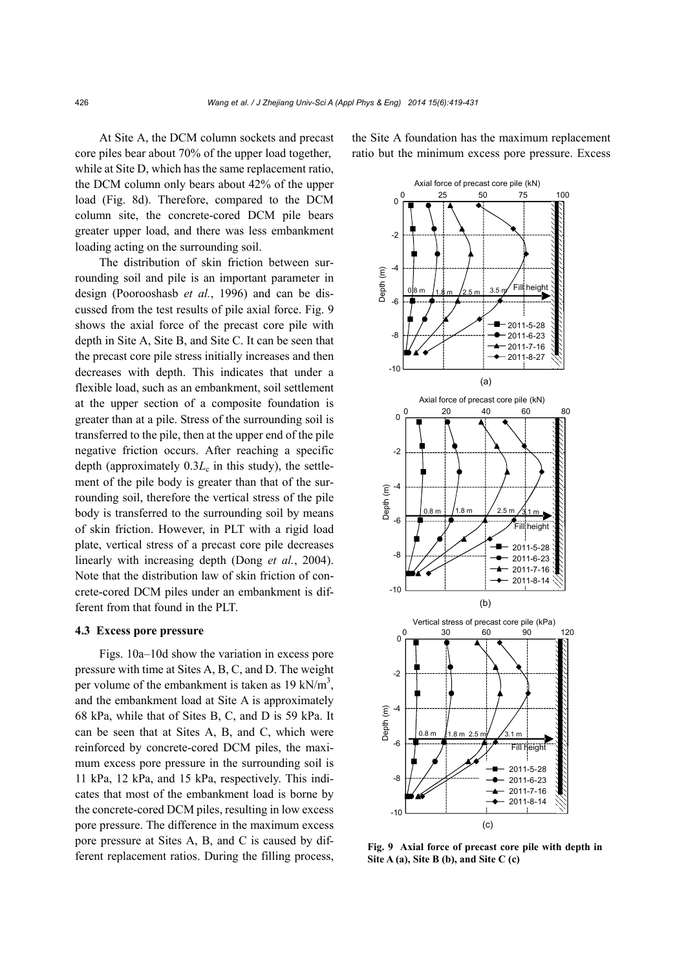At Site A, the DCM column sockets and precast core piles bear about 70% of the upper load together, while at Site D, which has the same replacement ratio, the DCM column only bears about 42% of the upper load (Fig. 8d). Therefore, compared to the DCM column site, the concrete-cored DCM pile bears greater upper load, and there was less embankment loading acting on the surrounding soil.

The distribution of skin friction between surrounding soil and pile is an important parameter in design (Poorooshasb *et al.*, 1996) and can be discussed from the test results of pile axial force. Fig. 9 shows the axial force of the precast core pile with depth in Site A, Site B, and Site C. It can be seen that the precast core pile stress initially increases and then decreases with depth. This indicates that under a flexible load, such as an embankment, soil settlement at the upper section of a composite foundation is greater than at a pile. Stress of the surrounding soil is transferred to the pile, then at the upper end of the pile negative friction occurs. After reaching a specific depth (approximately  $0.3L<sub>c</sub>$  in this study), the settlement of the pile body is greater than that of the surrounding soil, therefore the vertical stress of the pile body is transferred to the surrounding soil by means of skin friction. However, in PLT with a rigid load plate, vertical stress of a precast core pile decreases linearly with increasing depth (Dong *et al.*, 2004). Note that the distribution law of skin friction of concrete-cored DCM piles under an embankment is different from that found in the PLT.

#### **4.3 Excess pore pressure**

Figs. 10a–10d show the variation in excess pore pressure with time at Sites A, B, C, and D. The weight per volume of the embankment is taken as  $19 \text{ kN/m}^3$ , and the embankment load at Site A is approximately 68 kPa, while that of Sites B, C, and D is 59 kPa. It can be seen that at Sites A, B, and C, which were reinforced by concrete-cored DCM piles, the maximum excess pore pressure in the surrounding soil is 11 kPa, 12 kPa, and 15 kPa, respectively. This indicates that most of the embankment load is borne by the concrete-cored DCM piles, resulting in low excess pore pressure. The difference in the maximum excess pore pressure at Sites A, B, and C is caused by different replacement ratios. During the filling process,

the Site A foundation has the maximum replacement ratio but the minimum excess pore pressure. Excess



**Fig. 9 Axial force of precast core pile with depth in Site A (a), Site B (b), and Site C (c)**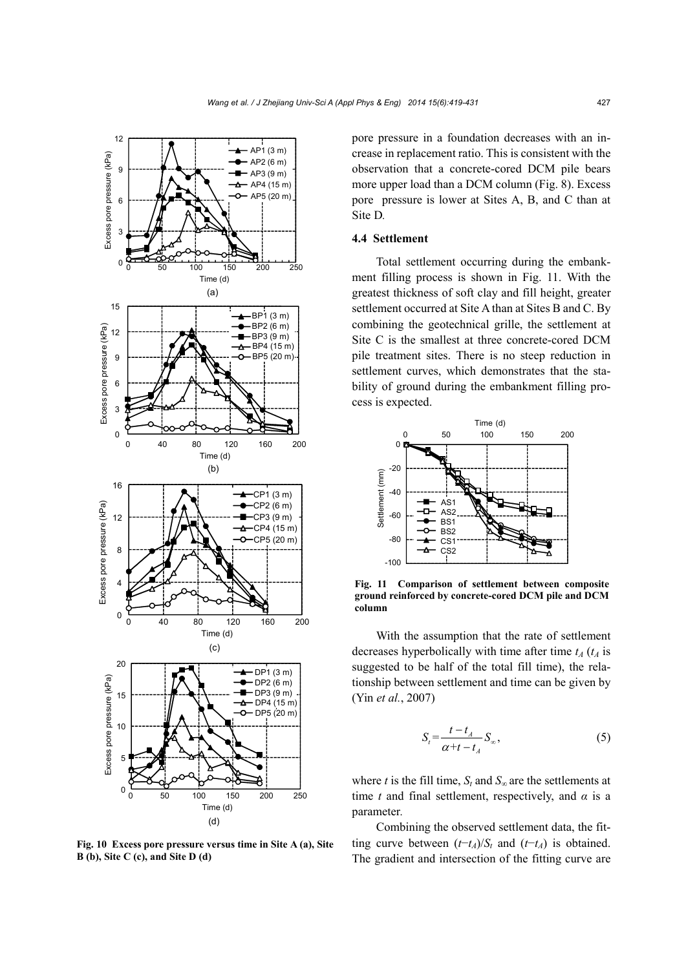

**Fig. 10 Excess pore pressure versus time in Site A (a), Site B (b), Site C (c), and Site D (d)**

pore pressure in a foundation decreases with an increase in replacement ratio. This is consistent with the observation that a concrete-cored DCM pile bears more upper load than a DCM column (Fig. 8). Excess pore pressure is lower at Sites A, B, and C than at Site D*.*

# **4.4 Settlement**

Total settlement occurring during the embankment filling process is shown in Fig. 11. With the greatest thickness of soft clay and fill height, greater settlement occurred at Site A than at Sites B and C. By combining the geotechnical grille, the settlement at Site C is the smallest at three concrete-cored DCM pile treatment sites. There is no steep reduction in settlement curves, which demonstrates that the stability of ground during the embankment filling process is expected.



**Fig. 11 Comparison of settlement between composite ground reinforced by concrete-cored DCM pile and DCM column**

With the assumption that the rate of settlement decreases hyperbolically with time after time  $t_A$  ( $t_A$  is suggested to be half of the total fill time), the relationship between settlement and time can be given by (Yin *et al.*, 2007)

$$
S_t = \frac{t - t_A}{\alpha + t - t_A} S_{\infty},\tag{5}
$$

where *t* is the fill time,  $S_t$  and  $S_\infty$  are the settlements at time *t* and final settlement, respectively, and  $\alpha$  is a parameter*.*

Combining the observed settlement data, the fitting curve between  $(t-t_A)/S_t$  and  $(t-t_A)$  is obtained. The gradient and intersection of the fitting curve are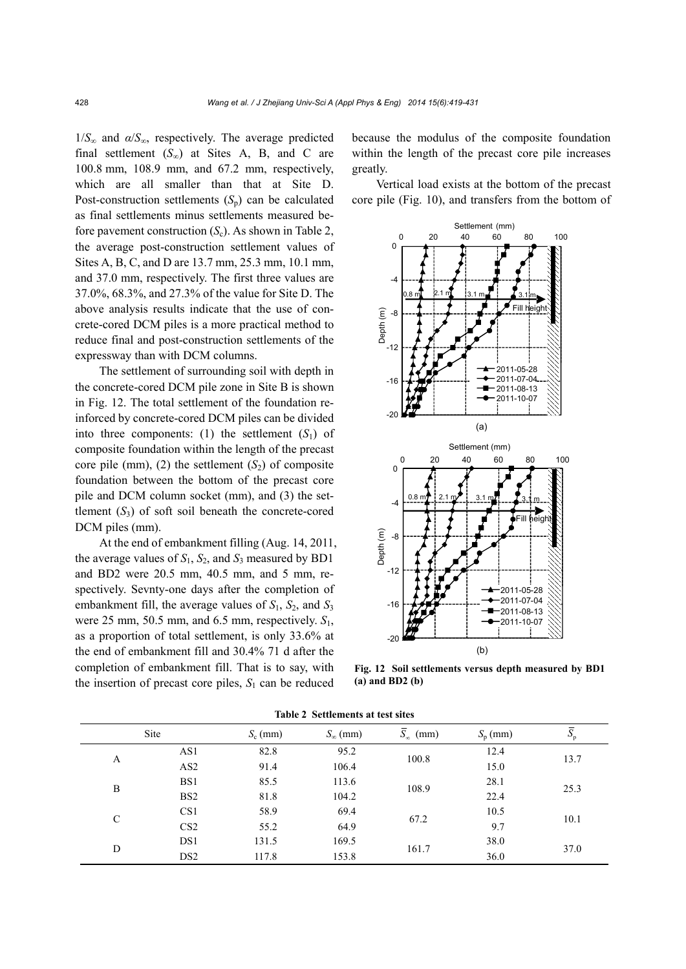1/*S*∞ and *α*/*S*∞, respectively. The average predicted final settlement  $(S_\infty)$  at Sites A, B, and C are 100.8 mm, 108.9 mm, and 67.2 mm, respectively, which are all smaller than that at Site D. Post-construction settlements  $(S_p)$  can be calculated as final settlements minus settlements measured before pavement construction  $(S_c)$ . As shown in Table 2, the average post-construction settlement values of Sites A, B, C, and D are 13.7 mm, 25.3 mm, 10.1 mm, and 37.0 mm, respectively. The first three values are 37.0%, 68.3%, and 27.3% of the value for Site D. The above analysis results indicate that the use of concrete-cored DCM piles is a more practical method to reduce final and post-construction settlements of the expressway than with DCM columns.

The settlement of surrounding soil with depth in the concrete-cored DCM pile zone in Site B is shown in Fig. 12. The total settlement of the foundation reinforced by concrete-cored DCM piles can be divided into three components: (1) the settlement  $(S_1)$  of composite foundation within the length of the precast core pile (mm), (2) the settlement  $(S_2)$  of composite foundation between the bottom of the precast core pile and DCM column socket (mm), and (3) the settlement  $(S_3)$  of soft soil beneath the concrete-cored DCM piles (mm).

At the end of embankment filling (Aug. 14, 2011, the average values of  $S_1$ ,  $S_2$ , and  $S_3$  measured by BD1 and BD2 were 20.5 mm, 40.5 mm, and 5 mm, respectively. Sevnty-one days after the completion of embankment fill, the average values of *S*1, *S*2, and *S*<sup>3</sup> were 25 mm, 50.5 mm, and 6.5 mm, respectively. *S*1, as a proportion of total settlement, is only 33.6% at the end of embankment fill and 30.4% 71 d after the completion of embankment fill. That is to say, with the insertion of precast core piles,  $S_1$  can be reduced

because the modulus of the composite foundation within the length of the precast core pile increases greatly.

Vertical load exists at the bottom of the precast core pile (Fig. 10), and transfers from the bottom of



**Fig. 12 Soil settlements versus depth measured by BD1 (a) and BD2 (b)** 

|               | Site            | $S_c$ (mm) | $S_{\infty}$ (mm) | $\overline{S}_n$ (mm) | $S_p$ (mm) | $S_{\rm p}$ |      |  |  |
|---------------|-----------------|------------|-------------------|-----------------------|------------|-------------|------|--|--|
| A             | AS1             | 82.8       | 95.2              | 100.8                 | 12.4       | 13.7        |      |  |  |
|               | AS <sub>2</sub> | 91.4       | 106.4             |                       | 15.0       |             |      |  |  |
|               | BS1             | 85.5       | 113.6             | 108.9                 | 28.1       |             |      |  |  |
| B             | BS <sub>2</sub> | 81.8       | 104.2             |                       | 22.4       | 25.3        |      |  |  |
| $\mathcal{C}$ | CS <sub>1</sub> | 58.9       | 69.4              | 67.2                  | 10.5       |             |      |  |  |
|               | CS <sub>2</sub> | 55.2       | 64.9              |                       |            | 9.7         | 10.1 |  |  |
| D             | DS1             | 131.5      | 169.5             | 161.7                 | 38.0       | 37.0        |      |  |  |
|               | DS <sub>2</sub> | 117.8      | 153.8             |                       | 36.0       |             |      |  |  |

**Table 2 Settlements at test sites**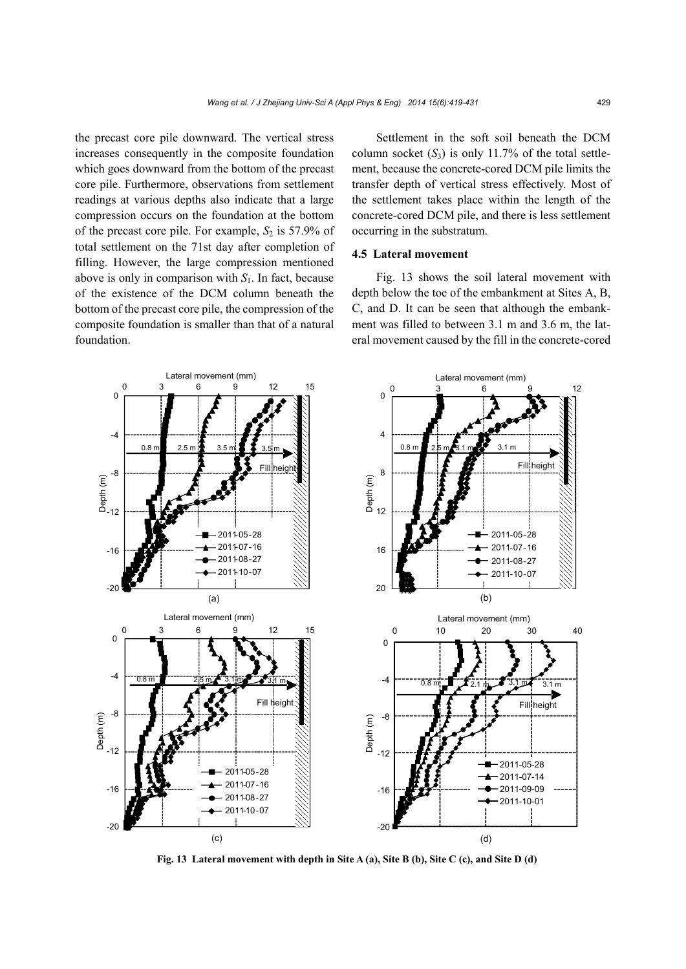the precast core pile downward. The vertical stress increases consequently in the composite foundation which goes downward from the bottom of the precast core pile. Furthermore, observations from settlement readings at various depths also indicate that a large compression occurs on the foundation at the bottom of the precast core pile. For example,  $S_2$  is 57.9% of total settlement on the 71st day after completion of filling. However, the large compression mentioned above is only in comparison with *S*1. In fact, because of the existence of the DCM column beneath the bottom of the precast core pile, the compression of the composite foundation is smaller than that of a natural foundation.

Settlement in the soft soil beneath the DCM column socket  $(S_3)$  is only 11.7% of the total settlement, because the concrete-cored DCM pile limits the transfer depth of vertical stress effectively. Most of the settlement takes place within the length of the concrete-cored DCM pile, and there is less settlement occurring in the substratum.

# **4.5 Lateral movement**

Fig. 13 shows the soil lateral movement with depth below the toe of the embankment at Sites A, B, C, and D. It can be seen that although the embankment was filled to between 3.1 m and 3.6 m, the lateral movement caused by the fill in the concrete-cored



**Fig. 13 Lateral movement with depth in Site A (a), Site B (b), Site C (c), and Site D (d)**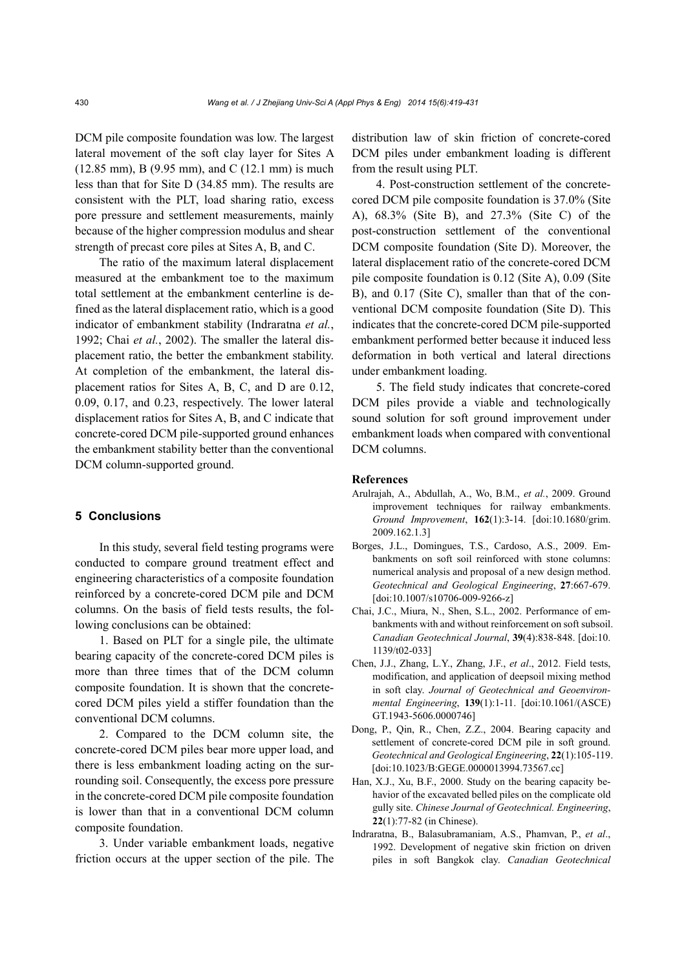DCM pile composite foundation was low. The largest lateral movement of the soft clay layer for Sites A (12.85 mm), B (9.95 mm), and C (12.1 mm) is much less than that for Site D (34.85 mm). The results are consistent with the PLT, load sharing ratio, excess pore pressure and settlement measurements, mainly because of the higher compression modulus and shear strength of precast core piles at Sites A, B, and C.

The ratio of the maximum lateral displacement measured at the embankment toe to the maximum total settlement at the embankment centerline is defined as the lateral displacement ratio, which is a good indicator of embankment stability (Indraratna *et al.*, 1992; Chai *et al.*, 2002). The smaller the lateral displacement ratio, the better the embankment stability. At completion of the embankment, the lateral displacement ratios for Sites A, B, C, and D are 0.12, 0.09, 0.17, and 0.23, respectively. The lower lateral displacement ratios for Sites A, B, and C indicate that concrete-cored DCM pile-supported ground enhances the embankment stability better than the conventional DCM column-supported ground.

#### **5 Conclusions**

In this study, several field testing programs were conducted to compare ground treatment effect and engineering characteristics of a composite foundation reinforced by a concrete-cored DCM pile and DCM columns. On the basis of field tests results, the following conclusions can be obtained:

1. Based on PLT for a single pile, the ultimate bearing capacity of the concrete-cored DCM piles is more than three times that of the DCM column composite foundation. It is shown that the concretecored DCM piles yield a stiffer foundation than the conventional DCM columns.

2. Compared to the DCM column site, the concrete-cored DCM piles bear more upper load, and there is less embankment loading acting on the surrounding soil. Consequently, the excess pore pressure in the concrete-cored DCM pile composite foundation is lower than that in a conventional DCM column composite foundation.

3. Under variable embankment loads, negative friction occurs at the upper section of the pile. The

distribution law of skin friction of concrete-cored DCM piles under embankment loading is different from the result using PLT.

4. Post-construction settlement of the concretecored DCM pile composite foundation is 37.0% (Site A), 68.3% (Site B), and 27.3% (Site C) of the post-construction settlement of the conventional DCM composite foundation (Site D). Moreover, the lateral displacement ratio of the concrete-cored DCM pile composite foundation is 0.12 (Site A), 0.09 (Site B), and 0.17 (Site C), smaller than that of the conventional DCM composite foundation (Site D). This indicates that the concrete-cored DCM pile-supported embankment performed better because it induced less deformation in both vertical and lateral directions under embankment loading.

5. The field study indicates that concrete-cored DCM piles provide a viable and technologically sound solution for soft ground improvement under embankment loads when compared with conventional DCM columns.

#### **References**

- Arulrajah, A., Abdullah, A., Wo, B.M., *et al.*, 2009. Ground improvement techniques for railway embankments. *Ground Improvement*, **162**(1):3-14. [doi:10.1680/grim. 2009.162.1.3]
- Borges, J.L., Domingues, T.S., Cardoso, A.S., 2009. Embankments on soft soil reinforced with stone columns: numerical analysis and proposal of a new design method. *Geotechnical and Geological Engineering*, **27**:667-679. [doi:10.1007/s10706-009-9266-z]
- Chai, J.C., Miura, N., Shen, S.L., 2002. Performance of embankments with and without reinforcement on soft subsoil. *Canadian Geotechnical Journal*, **39**(4):838-848. [doi:10. 1139/t02-033]
- Chen, J.J., Zhang, L.Y., Zhang, J.F., *et al*., 2012. Field tests, modification, and application of deepsoil mixing method in soft clay. *Journal of Geotechnical and Geoenvironmental Engineering*, **139**(1):1-11. [doi:10.1061/(ASCE) GT.1943-5606.0000746]
- Dong, P., Qin, R., Chen, Z.Z., 2004. Bearing capacity and settlement of concrete-cored DCM pile in soft ground. *Geotechnical and Geological Engineering*, **22**(1):105-119. [doi:10.1023/B:GEGE.0000013994.73567.cc]
- Han, X.J., Xu, B.F., 2000. Study on the bearing capacity behavior of the excavated belled piles on the complicate old gully site. *Chinese Journal of Geotechnical. Engineering*, **22**(1):77-82 (in Chinese).
- Indraratna, B., Balasubramaniam, A.S., Phamvan, P., *et al*., 1992. Development of negative skin friction on driven piles in soft Bangkok clay. *Canadian Geotechnical*